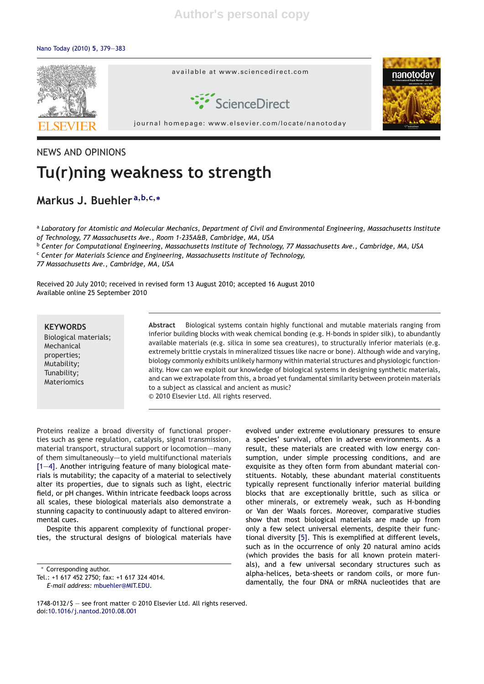### Nano Today (2010) **5**, 379—383



### NEWS AND OPINIONS

# **Tu(r)ning weakness to strength**

## **Markus J. Buehler <sup>a</sup>,b,c,<sup>∗</sup>**

<sup>a</sup> *Laboratory for Atomistic and Molecular Mechanics, Department of Civil and Environmental Engineering, Massachusetts Institute of Technology, 77 Massachusetts Ave., Room 1-235A&B, Cambridge, MA, USA*

<sup>b</sup> *Center for Computational Engineering, Massachusetts Institute of Technology, 77 Massachusetts Ave., Cambridge, MA, USA*

<sup>c</sup> *Center for Materials Science and Engineering, Massachusetts Institute of Technology,*

*77 Massachusetts Ave., Cambridge, MA, USA*

Received 20 July 2010; received in revised form 13 August 2010; accepted 16 August 2010 Available online 25 September 2010

# **KEYWORDS**

Biological materials; Mechanical properties; Mutability; Tunability; **Materiomics** 

**Abstract** Biological systems contain highly functional and mutable materials ranging from inferior building blocks with weak chemical bonding (e.g. H-bonds in spider silk), to abundantly available materials (e.g. silica in some sea creatures), to structurally inferior materials (e.g. extremely brittle crystals in mineralized tissues like nacre or bone). Although wide and varying, biology commonly exhibits unlikely harmony within material structures and physiologic functionality. How can we exploit our knowledge of biological systems in designing synthetic materials, and can we extrapolate from this, a broad yet fundamental similarity between protein materials to a subject as classical and ancient as music?

© 2010 Elsevier Ltd. All rights reserved.

Proteins realize a broad diversity of functional properties such as gene regulation, catalysis, signal transmission, material transport, structural support or locomotion—many of them simultaneously—–to yield multifunctional materials [1—4]. Another intriguing feature of many biological materials is mutability; the capacity of a material to selectively alter its properties, due to signals such as light, electric field, or pH changes. Within intricate feedback loops across all scales, these biological materials also demonstrate a stunning capacity to continuously adapt to altered environmental cues.

Despite this apparent complexity of functional properties, the structural designs of biological materials have

∗ Corresponding author.

Tel.: +1 617 452 2750; fax: +1 617 324 4014. *E-mail address:* mbuehler@MIT.EDU.

evolved under extreme evolutionary pressures to ensure a species' survival, often in adverse environments. As a result, these materials are created with low energy consumption, under simple processing conditions, and are exquisite as they often form from abundant material constituents. Notably, these abundant material constituents typically represent functionally inferior material building blocks that are exceptionally brittle, such as silica or other minerals, or extremely weak, such as H-bonding or Van der Waals forces. Moreover, comparative studies show that most biological materials are made up from only a few select universal elements, despite their functional diversity [5]. This is exemplified at different levels, such as in the occurrence of only 20 natural amino acids (which provides the basis for all known protein materials), and a few universal secondary structures such as alpha-helices, beta-sheets or random coils, or more fundamentally, the four DNA or mRNA nucleotides that are

<sup>1748-0132/\$ —</sup> see front matter © 2010 Elsevier Ltd. All rights reserved. doi:10.1016/j.nantod.2010.08.001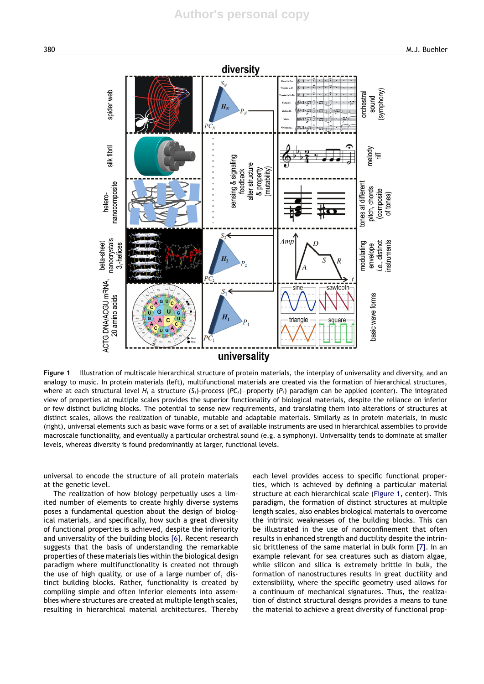

**Figure 1** Illustration of multiscale hierarchical structure of protein materials, the interplay of universality and diversity, and an analogy to music. In protein materials (left), multifunctional materials are created via the formation of hierarchical structures, where at each structural level *Hi* a structure (*Si*)-process (*PCi*)—property (*Pi*) paradigm can be applied (center). The integrated view of properties at multiple scales provides the superior functionality of biological materials, despite the reliance on inferior or few distinct building blocks. The potential to sense new requirements, and translating them into alterations of structures at distinct scales, allows the realization of tunable, mutable and adaptable materials. Similarly as in protein materials, in music (right), universal elements such as basic wave forms or a set of available instruments are used in hierarchical assemblies to provide macroscale functionality, and eventually a particular orchestral sound (e.g. a symphony). Universality tends to dominate at smaller levels, whereas diversity is found predominantly at larger, functional levels.

universal to encode the structure of all protein materials at the genetic level.

The realization of how biology perpetually uses a limited number of elements to create highly diverse systems poses a fundamental question about the design of biological materials, and specifically, how such a great diversity of functional properties is achieved, despite the inferiority and universality of the building blocks [6]. Recent research suggests that the basis of understanding the remarkable properties of these materials lies within the biological design paradigm where multifunctionality is created not through the use of high quality, or use of a large number of, distinct building blocks. Rather, functionality is created by compiling simple and often inferior elements into assemblies where structures are created at multiple length scales, resulting in hierarchical material architectures. Thereby

each level provides access to specific functional properties, which is achieved by defining a particular material structure at each hierarchical scale (Figure 1, center). This paradigm, the formation of distinct structures at multiple length scales, also enables biological materials to overcome the intrinsic weaknesses of the building blocks. This can be illustrated in the use of nanoconfinement that often results in enhanced strength and ductility despite the intrinsic brittleness of the same material in bulk form [7]. In an example relevant for sea creatures such as diatom algae, while silicon and silica is extremely brittle in bulk, the formation of nanostructures results in great ductility and extensibility, where the specific geometry used allows for a continuum of mechanical signatures. Thus, the realization of distinct structural designs provides a means to tune the material to achieve a great diversity of functional prop-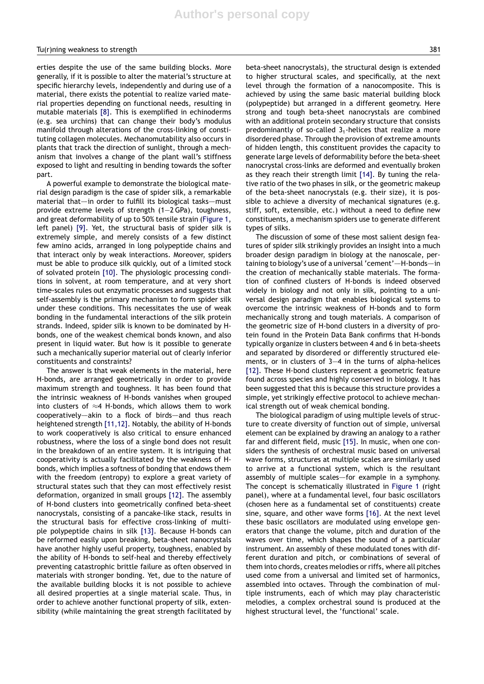### Tu(r)ning weakness to strength 381

erties despite the use of the same building blocks. More generally, if it is possible to alter the material's structure at specific hierarchy levels, independently and during use of a material, there exists the potential to realize varied material properties depending on functional needs, resulting in mutable materials [8]. This is exemplified in echinoderms (e.g. sea urchins) that can change their body's modulus manifold through alterations of the cross-linking of constituting collagen molecules. Mechanomutability also occurs in plants that track the direction of sunlight, through a mechanism that involves a change of the plant wall's stiffness exposed to light and resulting in bending towards the softer part.

A powerful example to demonstrate the biological material design paradigm is the case of spider silk, a remarkable material that—in order to fulfill its biological tasks—must provide extreme levels of strength (1—2 GPa), toughness, and great deformability of up to 50% tensile strain (Figure 1, left panel) [9]. Yet, the structural basis of spider silk is extremely simple, and merely consists of a few distinct few amino acids, arranged in long polypeptide chains and that interact only by weak interactions. Moreover, spiders must be able to produce silk quickly, out of a limited stock of solvated protein [10]. The physiologic processing conditions in solvent, at room temperature, and at very short time-scales rules out enzymatic processes and suggests that self-assembly is the primary mechanism to form spider silk under these conditions. This necessitates the use of weak bonding in the fundamental interactions of the silk protein strands. Indeed, spider silk is known to be dominated by Hbonds, one of the weakest chemical bonds known, and also present in liquid water. But how is it possible to generate such a mechanically superior material out of clearly inferior constituents and constraints?

The answer is that weak elements in the material, here H-bonds, are arranged geometrically in order to provide maximum strength and toughness. It has been found that the intrinsic weakness of H-bonds vanishes when grouped into clusters of  $\approx$ 4 H-bonds, which allows them to work cooperatively—akin to a flock of birds—and thus reach heightened strength [11,12]. Notably, the ability of H-bonds to work cooperatively is also critical to ensure enhanced robustness, where the loss of a single bond does not result in the breakdown of an entire system. It is intriguing that cooperativity is actually facilitated by the weakness of Hbonds, which implies a softness of bonding that endows them with the freedom (entropy) to explore a great variety of structural states such that they can most effectively resist deformation, organized in small groups [12]. The assembly of H-bond clusters into geometrically confined beta-sheet nanocrystals, consisting of a pancake-like stack, results in the structural basis for effective cross-linking of multiple polypeptide chains in silk [13]. Because H-bonds can be reformed easily upon breaking, beta-sheet nanocrystals have another highly useful property, toughness, enabled by the ability of H-bonds to self-heal and thereby effectively preventing catastrophic brittle failure as often observed in materials with stronger bonding. Yet, due to the nature of the available building blocks it is not possible to achieve all desired properties at a single material scale. Thus, in order to achieve another functional property of silk, extensibility (while maintaining the great strength facilitated by beta-sheet nanocrystals), the structural design is extended to higher structural scales, and specifically, at the next level through the formation of a nanocomposite. This is achieved by using the same basic material building block (polypeptide) but arranged in a different geometry. Here strong and tough beta-sheet nanocrystals are combined with an additional protein secondary structure that consists predominantly of so-called  $3<sub>1</sub>$ -helices that realize a more disordered phase. Through the provision of extreme amounts of hidden length, this constituent provides the capacity to generate large levels of deformability before the beta-sheet nanocrystal cross-links are deformed and eventually broken as they reach their strength limit [14]. By tuning the relative ratio of the two phases in silk, or the geometric makeup of the beta-sheet nanocrystals (e.g. their size), it is possible to achieve a diversity of mechanical signatures (e.g. stiff, soft, extensible, etc.) without a need to define new constituents, a mechanism spiders use to generate different types of silks.

The discussion of some of these most salient design features of spider silk strikingly provides an insight into a much broader design paradigm in biology at the nanoscale, pertaining to biology's use of a universal 'cement'—H-bonds—in the creation of mechanically stable materials. The formation of confined clusters of H-bonds is indeed observed widely in biology and not only in silk, pointing to a universal design paradigm that enables biological systems to overcome the intrinsic weakness of H-bonds and to form mechanically strong and tough materials. A comparison of the geometric size of H-bond clusters in a diversity of protein found in the Protein Data Bank confirms that H-bonds typically organize in clusters between 4 and 6 in beta-sheets and separated by disordered or differently structured elements, or in clusters of 3—4 in the turns of alpha-helices [12]. These H-bond clusters represent a geometric feature found across species and highly conserved in biology. It has been suggested that this is because this structure provides a simple, yet strikingly effective protocol to achieve mechanical strength out of weak chemical bonding.

The biological paradigm of using multiple levels of structure to create diversity of function out of simple, universal element can be explained by drawing an analogy to a rather far and different field, music [15]. In music, when one considers the synthesis of orchestral music based on universal wave forms, structures at multiple scales are similarly used to arrive at a functional system, which is the resultant assembly of multiple scales—for example in a symphony. The concept is schematically illustrated in Figure 1 (right panel), where at a fundamental level, four basic oscillators (chosen here as a fundamental set of constituents) create sine, square, and other wave forms [16]. At the next level these basic oscillators are modulated using envelope generators that change the volume, pitch and duration of the waves over time, which shapes the sound of a particular instrument. An assembly of these modulated tones with different duration and pitch, or combinations of several of them into chords, creates melodies or riffs, where all pitches used come from a universal and limited set of harmonics, assembled into octaves. Through the combination of multiple instruments, each of which may play characteristic melodies, a complex orchestral sound is produced at the highest structural level, the 'functional' scale.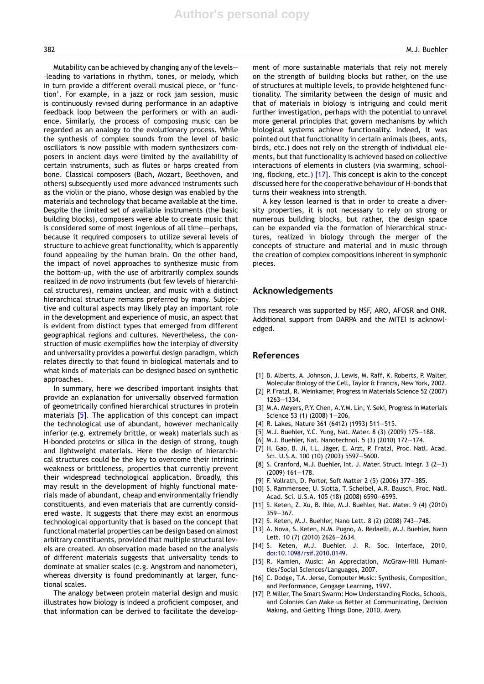Mutability can be achieved by changing any of the levels— –leading to variations in rhythm, tones, or melody, which in turn provide a different overall musical piece, or 'function'. For example, in a jazz or rock jam session, music is continuously revised during performance in an adaptive feedback loop between the performers or with an audience. Similarly, the process of composing music can be regarded as an analogy to the evolutionary process. While the synthesis of complex sounds from the level of basic oscillators is now possible with modern synthesizers composers in ancient days were limited by the availability of certain instruments, such as flutes or harps created from bone. Classical composers (Bach, Mozart, Beethoven, and others) subsequently used more advanced instruments such as the violin or the piano, whose design was enabled by the materials and technology that became available at the time. Despite the limited set of available instruments (the basic building blocks), composers were able to create music that is considered some of most ingenious of all time—perhaps, because it required composers to utilize several levels of structure to achieve great functionality, which is apparently found appealing by the human brain. On the other hand, the impact of novel approaches to synthesize music from the bottom-up, with the use of arbitrarily complex sounds realized in *de novo* instruments (but few levels of hierarchical structures), remains unclear, and music with a distinct hierarchical structure remains preferred by many. Subjective and cultural aspects may likely play an important role in the development and experience of music, an aspect that is evident from distinct types that emerged from different geographical regions and cultures. Nevertheless, the construction of music exemplifies how the interplay of diversity and universality provides a powerful design paradigm, which relates directly to that found in biological materials and to what kinds of materials can be designed based on synthetic approaches.

In summary, here we described important insights that provide an explanation for universally observed formation of geometrically confined hierarchical structures in protein materials [5]. The application of this concept can impact the technological use of abundant, however mechanically inferior (e.g. extremely brittle, or weak) materials such as H-bonded proteins or silica in the design of strong, tough and lightweight materials. Here the design of hierarchical structures could be the key to overcome their intrinsic weakness or brittleness, properties that currently prevent their widespread technological application. Broadly, this may result in the development of highly functional materials made of abundant, cheap and environmentally friendly constituents, and even materials that are currently considered waste. It suggests that there may exist an enormous technological opportunity that is based on the concept that functional material properties can be design based on almost arbitrary constituents, provided that multiple structural levels are created. An observation made based on the analysis of different materials suggests that universality tends to dominate at smaller scales (e.g. Angstrom and nanometer), whereas diversity is found predominantly at larger, functional scales.

The analogy between protein material design and music illustrates how biology is indeed a proficient composer, and that information can be derived to facilitate the develop-

ment of more sustainable materials that rely not merely on the strength of building blocks but rather, on the use of structures at multiple levels, to provide heightened functionality. The similarity between the design of music and that of materials in biology is intriguing and could merit further investigation, perhaps with the potential to unravel more general principles that govern mechanisms by which biological systems achieve functionality. Indeed, it was pointed out that functionality in certain animals (bees, ants, birds, etc.) does not rely on the strength of individual elements, but that functionality is achieved based on collective interactions of elements in clusters (via swarming, schooling, flocking, etc.) [17]. This concept is akin to the concept discussed here for the cooperative behaviour of H-bonds that turns their weakness into strength.

A key lesson learned is that in order to create a diversity properties, it is not necessary to rely on strong or numerous building blocks, but rather, the design space can be expanded via the formation of hierarchical structures, realized in biology through the merger of the concepts of structure and material and in music through the creation of complex compositions inherent in symphonic pieces.

#### **Acknowledgements**

This research was supported by NSF, ARO, AFOSR and ONR. Additional support from DARPA and the MITEI is acknowledged.

### **References**

- [1] B. Alberts, A. Johnson, J. Lewis, M. Raff, K. Roberts, P. Walter, Molecular Biology of the Cell, Taylor & Francis, New York, 2002.
- [2] P. Fratzl, R. Weinkamer, Progress in Materials Science 52 (2007) 1263—1334.
- [3] M.A. Meyers, P.Y. Chen, A.Y.M. Lin, Y. Seki, Progress in Materials Science 53 (1) (2008) 1—206.
- [4] R. Lakes, Nature 361 (6412) (1993) 511—515.
- [5] M.J. Buehler, Y.C. Yung, Nat. Mater. 8 (3) (2009) 175—188.
- [6] M.J. Buehler, Nat. Nanotechnol. 5 (3) (2010) 172—174.
- [7] H. Gao, B. Ji, I.L. Jäger, E. Arzt, P. Fratzl, Proc. Natl. Acad. Sci. U.S.A. 100 (10) (2003) 5597—5600.
- [8] S. Cranford, M.J. Buehler, Int. J. Mater. Struct. Integr. 3 (2—3) (2009) 161—178.
- [9] F. Vollrath, D. Porter, Soft Matter 2 (5) (2006) 377—385.
- [10] S. Rammensee, U. Slotta, T. Scheibel, A.R. Bausch, Proc. Natl. Acad. Sci. U.S.A. 105 (18) (2008) 6590—6595.
- [11] S. Keten, Z. Xu, B. Ihle, M.J. Buehler, Nat. Mater. 9 (4) (2010) 359—367.
- [12] S. Keten, M.J. Buehler, Nano Lett. 8 (2) (2008) 743—748.
- [13] A. Nova, S. Keten, N.M. Pugno, A. Redaelli, M.J. Buehler, Nano Lett. 10 (7) (2010) 2626—2634.
- [14] S. Keten, M.J. Buehler, J. R. Soc. Interface, 2010, doi:10.1098/rsif.2010.0149.
- [15] R. Kamien, Music: An Appreciation, McGraw-Hill Humanities/Social Sciences/Languages, 2007.
- [16] C. Dodge, T.A. Jerse, Computer Music: Synthesis, Composition, and Performance, Cengage Learning, 1997.
- [17] P. Miller, The Smart Swarm: How Understanding Flocks, Schools, and Colonies Can Make us Better at Communicating, Decision Making, and Getting Things Done, 2010, Avery.